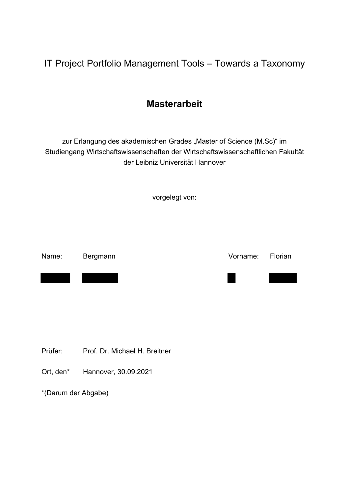IT Project Portfolio Management Tools – Towards a Taxonomy

# **Masterarbeit**

zur Erlangung des akademischen Grades "Master of Science (M.Sc)" im Studiengang Wirtschaftswissenschaften der Wirtschaftswissenschaftlichen Fakultät der Leibniz Universität Hannover

vorgelegt von:

Name: Bergmann Vorname: Florian

Prüfer: Prof. Dr. Michael H. Breitner

Ort, den\* Hannover, 30.09.2021

\*(Darum der Abgabe)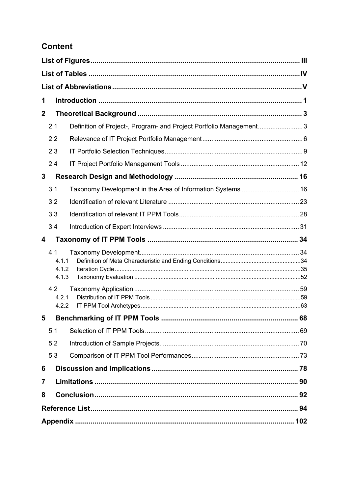# **Content**

| 1           |                                                                     |  |  |
|-------------|---------------------------------------------------------------------|--|--|
| $\mathbf 2$ |                                                                     |  |  |
| 2.1         | Definition of Project-, Program- and Project Portfolio Management 3 |  |  |
| 2.2         |                                                                     |  |  |
| 2.3         |                                                                     |  |  |
| 2.4         |                                                                     |  |  |
| 3           |                                                                     |  |  |
| 3.1         |                                                                     |  |  |
| 3.2         |                                                                     |  |  |
| 3.3         |                                                                     |  |  |
| 3.4         |                                                                     |  |  |
| 4           |                                                                     |  |  |
| 4.1         | 4.1.1<br>4.1.2<br>4.1.3                                             |  |  |
| 4.2         | 4.2.1<br>4.2.2                                                      |  |  |
| 5           |                                                                     |  |  |
| 5.1         |                                                                     |  |  |
| 5.2         |                                                                     |  |  |
| 5.3         |                                                                     |  |  |
| 6           |                                                                     |  |  |
| 7           |                                                                     |  |  |
| 8           |                                                                     |  |  |
|             |                                                                     |  |  |
|             |                                                                     |  |  |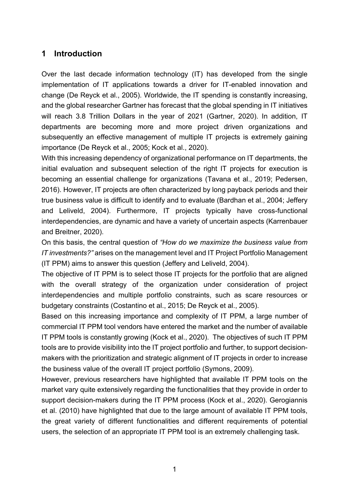### **1 Introduction**

Over the last decade information technology (IT) has developed from the single implementation of IT applications towards a driver for IT-enabled innovation and change (De Reyck et al., 2005). Worldwide, the IT spending is constantly increasing, and the global researcher Gartner has forecast that the global spending in IT initiatives will reach 3.8 Trillion Dollars in the year of 2021 (Gartner, 2020). In addition, IT departments are becoming more and more project driven organizations and subsequently an effective management of multiple IT projects is extremely gaining importance (De Reyck et al., 2005; Kock et al., 2020).

With this increasing dependency of organizational performance on IT departments, the initial evaluation and subsequent selection of the right IT projects for execution is becoming an essential challenge for organizations (Tavana et al., 2019; Pedersen, 2016). However, IT projects are often characterized by long payback periods and their true business value is difficult to identify and to evaluate (Bardhan et al., 2004; Jeffery and Leliveld, 2004). Furthermore, IT projects typically have cross-functional interdependencies, are dynamic and have a variety of uncertain aspects (Karrenbauer and Breitner, 2020).

On this basis, the central question of *"How do we maximize the business value from IT investments?"* arises on the management level and IT Project Portfolio Management (IT PPM) aims to answer this question (Jeffery and Leliveld, 2004).

The objective of IT PPM is to select those IT projects for the portfolio that are aligned with the overall strategy of the organization under consideration of project interdependencies and multiple portfolio constraints, such as scare resources or budgetary constraints (Costantino et al., 2015; De Reyck et al., 2005).

Based on this increasing importance and complexity of IT PPM, a large number of commercial IT PPM tool vendors have entered the market and the number of available IT PPM tools is constantly growing (Kock et al., 2020). The objectives of such IT PPM tools are to provide visibility into the IT project portfolio and further, to support decisionmakers with the prioritization and strategic alignment of IT projects in order to increase the business value of the overall IT project portfolio (Symons, 2009).

However, previous researchers have highlighted that available IT PPM tools on the market vary quite extensively regarding the functionalities that they provide in order to support decision-makers during the IT PPM process (Kock et al., 2020). Gerogiannis et al. (2010) have highlighted that due to the large amount of available IT PPM tools, the great variety of different functionalities and different requirements of potential users, the selection of an appropriate IT PPM tool is an extremely challenging task.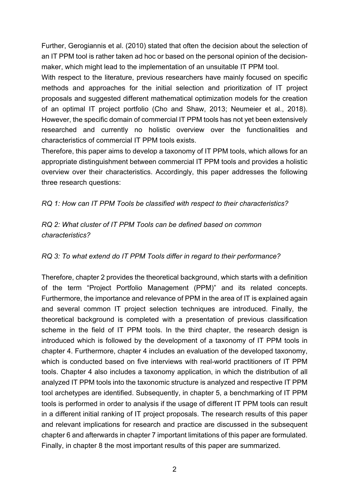Further, Gerogiannis et al. (2010) stated that often the decision about the selection of an IT PPM tool is rather taken ad hoc or based on the personal opinion of the decisionmaker, which might lead to the implementation of an unsuitable IT PPM tool.

With respect to the literature, previous researchers have mainly focused on specific methods and approaches for the initial selection and prioritization of IT project proposals and suggested different mathematical optimization models for the creation of an optimal IT project portfolio (Cho and Shaw, 2013; Neumeier et al., 2018). However, the specific domain of commercial IT PPM tools has not yet been extensively researched and currently no holistic overview over the functionalities and characteristics of commercial IT PPM tools exists.

Therefore, this paper aims to develop a taxonomy of IT PPM tools, which allows for an appropriate distinguishment between commercial IT PPM tools and provides a holistic overview over their characteristics. Accordingly, this paper addresses the following three research questions:

#### *RQ 1: How can IT PPM Tools be classified with respect to their characteristics?*

### *RQ 2: What cluster of IT PPM Tools can be defined based on common characteristics?*

#### *RQ 3: To what extend do IT PPM Tools differ in regard to their performance?*

Therefore, chapter 2 provides the theoretical background, which starts with a definition of the term "Project Portfolio Management (PPM)" and its related concepts. Furthermore, the importance and relevance of PPM in the area of IT is explained again and several common IT project selection techniques are introduced. Finally, the theoretical background is completed with a presentation of previous classification scheme in the field of IT PPM tools. In the third chapter, the research design is introduced which is followed by the development of a taxonomy of IT PPM tools in chapter 4. Furthermore, chapter 4 includes an evaluation of the developed taxonomy, which is conducted based on five interviews with real-world practitioners of IT PPM tools. Chapter 4 also includes a taxonomy application, in which the distribution of all analyzed IT PPM tools into the taxonomic structure is analyzed and respective IT PPM tool archetypes are identified. Subsequently, in chapter 5, a benchmarking of IT PPM tools is performed in order to analysis if the usage of different IT PPM tools can result in a different initial ranking of IT project proposals. The research results of this paper and relevant implications for research and practice are discussed in the subsequent chapter 6 and afterwards in chapter 7 important limitations of this paper are formulated. Finally, in chapter 8 the most important results of this paper are summarized.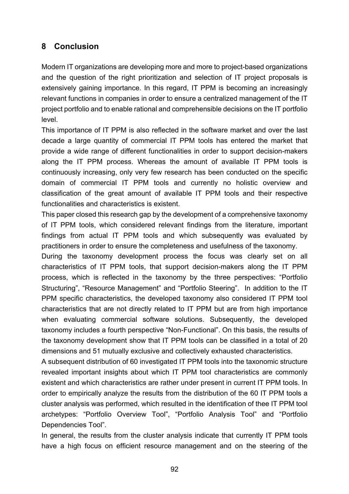## **8 Conclusion**

Modern IT organizations are developing more and more to project-based organizations and the question of the right prioritization and selection of IT project proposals is extensively gaining importance. In this regard, IT PPM is becoming an increasingly relevant functions in companies in order to ensure a centralized management of the IT project portfolio and to enable rational and comprehensible decisions on the IT portfolio level.

This importance of IT PPM is also reflected in the software market and over the last decade a large quantity of commercial IT PPM tools has entered the market that provide a wide range of different functionalities in order to support decision-makers along the IT PPM process. Whereas the amount of available IT PPM tools is continuously increasing, only very few research has been conducted on the specific domain of commercial IT PPM tools and currently no holistic overview and classification of the great amount of available IT PPM tools and their respective functionalities and characteristics is existent.

This paper closed this research gap by the development of a comprehensive taxonomy of IT PPM tools, which considered relevant findings from the literature, important findings from actual IT PPM tools and which subsequently was evaluated by practitioners in order to ensure the completeness and usefulness of the taxonomy.

During the taxonomy development process the focus was clearly set on all characteristics of IT PPM tools, that support decision-makers along the IT PPM process, which is reflected in the taxonomy by the three perspectives: "Portfolio Structuring", "Resource Management" and "Portfolio Steering". In addition to the IT PPM specific characteristics, the developed taxonomy also considered IT PPM tool characteristics that are not directly related to IT PPM but are from high importance when evaluating commercial software solutions. Subsequently, the developed taxonomy includes a fourth perspective "Non-Functional". On this basis, the results of the taxonomy development show that IT PPM tools can be classified in a total of 20 dimensions and 51 mutually exclusive and collectively exhausted characteristics.

A subsequent distribution of 60 investigated IT PPM tools into the taxonomic structure revealed important insights about which IT PPM tool characteristics are commonly existent and which characteristics are rather under present in current IT PPM tools. In order to empirically analyze the results from the distribution of the 60 IT PPM tools a cluster analysis was performed, which resulted in the identification of thee IT PPM tool archetypes: "Portfolio Overview Tool", "Portfolio Analysis Tool" and "Portfolio Dependencies Tool".

In general, the results from the cluster analysis indicate that currently IT PPM tools have a high focus on efficient resource management and on the steering of the